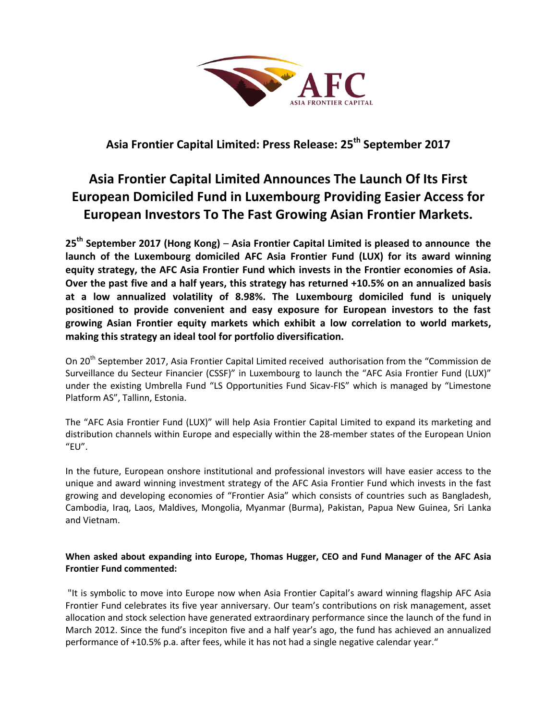

## **Asia Frontier Capital Limited: Press Release: 25th September 2017**

# **Asia Frontier Capital Limited Announces The Launch Of Its First European Domiciled Fund in Luxembourg Providing Easier Access for European Investors To The Fast Growing Asian Frontier Markets.**

**25th September 2017 (Hong Kong)** – **Asia Frontier Capital Limited is pleased to announce the launch of the Luxembourg domiciled AFC Asia Frontier Fund (LUX) for its award winning equity strategy, the AFC Asia Frontier Fund which invests in the Frontier economies of Asia. Over the past five and a half years, this strategy has returned +10.5% on an annualized basis at a low annualized volatility of 8.98%. The Luxembourg domiciled fund is uniquely positioned to provide convenient and easy exposure for European investors to the fast growing Asian Frontier equity markets which exhibit a low correlation to world markets, making this strategy an ideal tool for portfolio diversification.**

On 20<sup>th</sup> September 2017, Asia Frontier Capital Limited received authorisation from the "Commission de Surveillance du Secteur Financier (CSSF)" in Luxembourg to launch the "AFC Asia Frontier Fund (LUX)" under the existing Umbrella Fund "LS Opportunities Fund Sicav-FIS" which is managed by "Limestone Platform AS", Tallinn, Estonia.

The "AFC Asia Frontier Fund (LUX)" will help Asia Frontier Capital Limited to expand its marketing and distribution channels within Europe and especially within the 28-member states of the European Union  $"EU"$ .

In the future, European onshore institutional and professional investors will have easier access to the unique and award winning investment strategy of the AFC Asia Frontier Fund which invests in the fast growing and developing economies of "Frontier Asia" which consists of countries such as Bangladesh, Cambodia, Iraq, Laos, Maldives, Mongolia, Myanmar (Burma), Pakistan, Papua New Guinea, Sri Lanka and Vietnam.

## **When asked about expanding into Europe, Thomas Hugger, CEO and Fund Manager of the AFC Asia Frontier Fund commented:**

"It is symbolic to move into Europe now when Asia Frontier Capital's award winning flagship AFC Asia Frontier Fund celebrates its five year anniversary. Our team's contributions on risk management, asset allocation and stock selection have generated extraordinary performance since the launch of the fund in March 2012. Since the fund's incepiton five and a half year's ago, the fund has achieved an annualized performance of +10.5% p.a. after fees, while it has not had a single negative calendar year."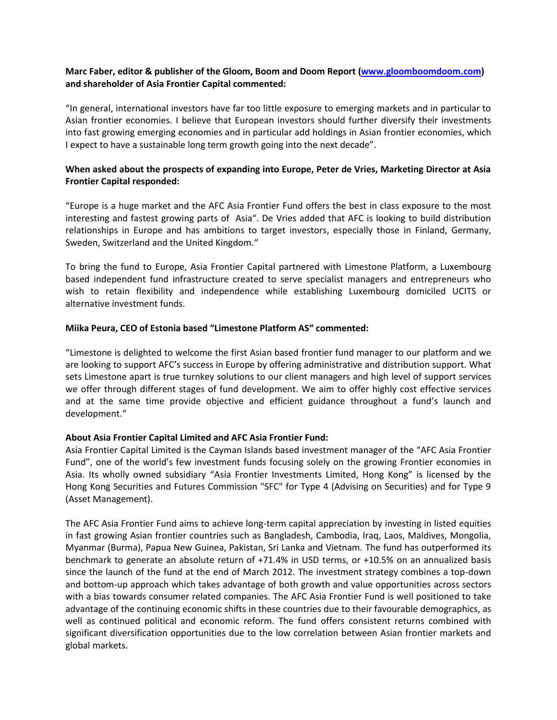### **Marc Faber, editor & publisher of the Gloom, Boom and Doom Report [\(www.gloomboomdoom.com\)](http://www.gloomboomdoom.com/) and shareholder of Asia Frontier Capital commented:**

"In general, international investors have far too little exposure to emerging markets and in particular to Asian frontier economies. I believe that European investors should further diversify their investments into fast growing emerging economies and in particular add holdings in Asian frontier economies, which I expect to have a sustainable long term growth going into the next decade".

### **When asked about the prospects of expanding into Europe, Peter de Vries, Marketing Director at Asia Frontier Capital responded:**

"Europe is a huge market and the AFC Asia Frontier Fund offers the best in class exposure to the most interesting and fastest growing parts of Asia". De Vries added that AFC is looking to build distribution relationships in Europe and has ambitions to target investors, especially those in Finland, Germany, Sweden, Switzerland and the United Kingdom."

To bring the fund to Europe, Asia Frontier Capital partnered with Limestone Platform, a Luxembourg based independent fund infrastructure created to serve specialist managers and entrepreneurs who wish to retain flexibility and independence while establishing Luxembourg domiciled UCITS or alternative investment funds.

#### **Miika Peura, CEO of Estonia based "Limestone Platform AS" commented:**

"Limestone is delighted to welcome the first Asian based frontier fund manager to our platform and we are looking to support AFC's success in Europe by offering administrative and distribution support. What sets Limestone apart is true turnkey solutions to our client managers and high level of support services we offer through different stages of fund development. We aim to offer highly cost effective services and at the same time provide objective and efficient guidance throughout a fund's launch and development."

#### **About Asia Frontier Capital Limited and AFC Asia Frontier Fund:**

Asia Frontier Capital Limited is the Cayman Islands based investment manager of the "AFC Asia Frontier Fund", one of the world's few investment funds focusing solely on the growing Frontier economies in Asia. Its wholly owned subsidiary "Asia Frontier Investments Limited, Hong Kong" is licensed by the Hong Kong Securities and Futures Commission "SFC" for Type 4 (Advising on Securities) and for Type 9 (Asset Management).

The AFC Asia Frontier Fund aims to achieve long-term capital appreciation by investing in listed equities in fast growing Asian frontier countries such as Bangladesh, Cambodia, Iraq, Laos, Maldives, Mongolia, Myanmar (Burma), Papua New Guinea, Pakistan, Sri Lanka and Vietnam. The fund has outperformed its benchmark to generate an absolute return of +71.4% in USD terms, or +10.5% on an annualized basis since the launch of the fund at the end of March 2012. The investment strategy combines a top-down and bottom-up approach which takes advantage of both growth and value opportunities across sectors with a bias towards consumer related companies. The AFC Asia Frontier Fund is well positioned to take advantage of the continuing economic shifts in these countries due to their favourable demographics, as well as continued political and economic reform. The fund offers consistent returns combined with significant diversification opportunities due to the low correlation between Asian frontier markets and global markets.